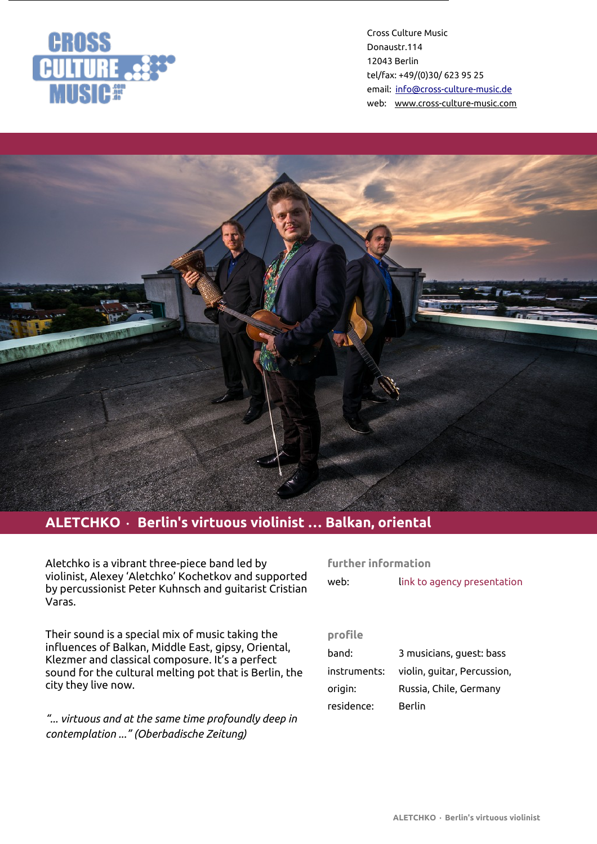



# **ALETCHKO** • **Berlin's virtuous violinist … Balkan, oriental**

Aletchko is a vibrant three-piece band led by violinist, Alexey 'Aletchko' Kochetkov and supported by percussionist Peter Kuhnsch and guitarist Cristian Varas.

Their sound is a special mix of music taking the influences of Balkan, Middle East, gipsy, Oriental, Klezmer and classical composure. It's a perfect sound for the cultural melting pot that is Berlin, the city they live now.

*"... virtuous and at the same time profoundly deep in contemplation ..." (Oberbadische Zeitung)*

#### **further information**

| web: | link to agency presentation |
|------|-----------------------------|
|      |                             |

# **profile**

| band:        | 3 musicians, guest: bass    |
|--------------|-----------------------------|
| instruments: | violin, guitar, Percussion, |
| origin:      | Russia, Chile, Germany      |
| residence:   | Berlin                      |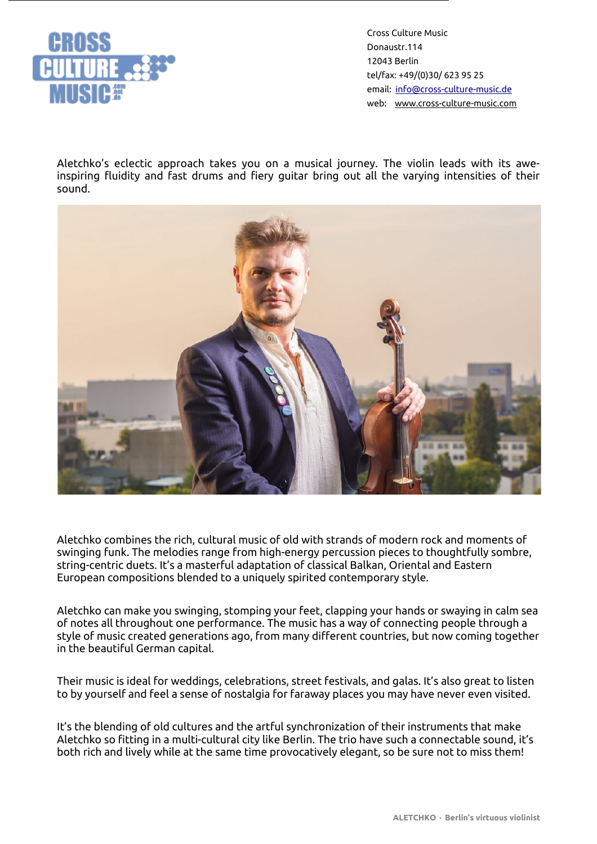

Aletchko's eclectic approach takes you on a musical journey. The violin leads with its aweinspiring fluidity and fast drums and fiery guitar bring out all the varying intensities of their sound.



Aletchko combines the rich, cultural music of old with strands of modern rock and moments of swinging funk. The melodies range from high-energy percussion pieces to thoughtfully sombre, string-centric duets. It's a masterful adaptation of classical Balkan, Oriental and Eastern European compositions blended to a uniquely spirited contemporary style.

Aletchko can make you swinging, stomping your feet, clapping your hands or swaying in calm sea of notes all throughout one performance. The music has a way of connecting people through a style of music created generations ago, from many different countries, but now coming together in the beautiful German capital.

Their music is ideal for weddings, celebrations, street festivals, and galas. It's also great to listen to by yourself and feel a sense of nostalgia for faraway places you may have never even visited.

It's the blending of old cultures and the artful synchronization of their instruments that make Aletchko so fitting in a multi-cultural city like Berlin. The trio have such a connectable sound, it's both rich and lively while at the same time provocatively elegant, so be sure not to miss them!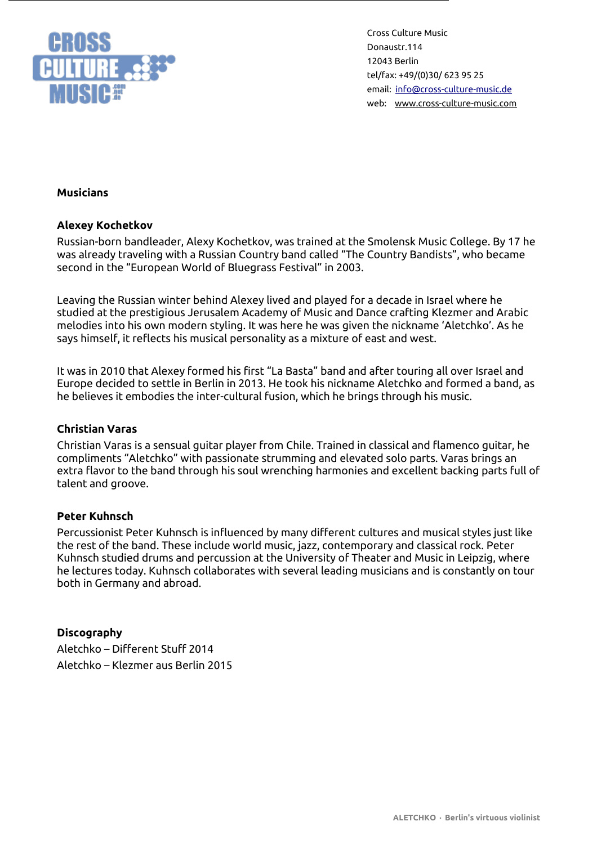

### **Musicians**

#### **Alexey Kochetkov**

Russian-born bandleader, Alexy Kochetkov, was trained at the Smolensk Music College. By 17 he was already traveling with a Russian Country band called "The Country Bandists", who became second in the "European World of Bluegrass Festival" in 2003.

Leaving the Russian winter behind Alexey lived and played for a decade in Israel where he studied at the prestigious Jerusalem Academy of Music and Dance crafting Klezmer and Arabic melodies into his own modern styling. It was here he was given the nickname 'Aletchko'. As he says himself, it reflects his musical personality as a mixture of east and west.

It was in 2010 that Alexey formed his first "La Basta" band and after touring all over Israel and Europe decided to settle in Berlin in 2013. He took his nickname Aletchko and formed a band, as he believes it embodies the inter-cultural fusion, which he brings through his music.

#### **Christian Varas**

Christian Varas is a sensual guitar player from Chile. Trained in classical and flamenco guitar, he compliments "Aletchko" with passionate strumming and elevated solo parts. Varas brings an extra flavor to the band through his soul wrenching harmonies and excellent backing parts full of talent and groove.

#### **Peter Kuhnsch**

Percussionist Peter Kuhnsch is influenced by many different cultures and musical styles just like the rest of the band. These include world music, jazz, contemporary and classical rock. Peter Kuhnsch studied drums and percussion at the University of Theater and Music in Leipzig, where he lectures today. Kuhnsch collaborates with several leading musicians and is constantly on tour both in Germany and abroad.

### **Discography**

Aletchko – Different Stuff 2014 Aletchko – Klezmer aus Berlin 2015